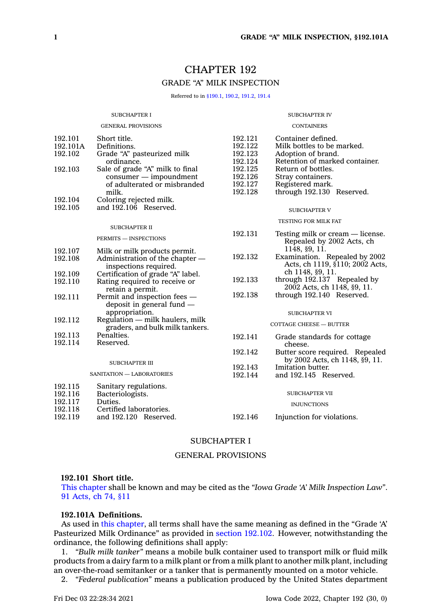# CHAPTER 192 GRADE "A" MILK INSPECTION

Referred to in [§190.1](https://www.legis.iowa.gov/docs/code/190.1.pdf), [190.2](https://www.legis.iowa.gov/docs/code/190.2.pdf), [191.2](https://www.legis.iowa.gov/docs/code/191.2.pdf), [191.4](https://www.legis.iowa.gov/docs/code/191.4.pdf)

|                                | <b>SUBCHAPTER I</b>                                                                                               |                                          | <b>SUBCHAPTER IV</b>                                                                                     |
|--------------------------------|-------------------------------------------------------------------------------------------------------------------|------------------------------------------|----------------------------------------------------------------------------------------------------------|
|                                | <b>GENERAL PROVISIONS</b>                                                                                         |                                          | <b>CONTAINERS</b>                                                                                        |
| 192.101<br>192.101A<br>192.102 | Short title.<br>Definitions.<br>Grade "A" pasteurized milk<br>ordinance.                                          | 192.121<br>192.122<br>192.123<br>192.124 | Container defined.<br>Milk bottles to be marked.<br>Adoption of brand.<br>Retention of marked container. |
| 192.103                        | Sale of grade "A" milk to final<br>$\text{cosumer} - \text{impoundment}$<br>of adulterated or misbranded<br>milk. | 192.125<br>192.126<br>192.127<br>192.128 | Return of bottles.<br>Stray containers.<br>Registered mark.<br>through 192.130 Reserved.                 |
| 192.104<br>192.105             | Coloring rejected milk.<br>and 192.106 Reserved.                                                                  |                                          | <b>SUBCHAPTER V</b>                                                                                      |
|                                |                                                                                                                   |                                          | TESTING FOR MILK FAT                                                                                     |
|                                | <b>SUBCHAPTER II</b><br>PERMITS - INSPECTIONS                                                                     | 192.131                                  | Testing milk or cream — license.<br>Repealed by 2002 Acts, ch                                            |
| 192.107<br>192.108             | Milk or milk products permit.<br>Administration of the chapter —<br>inspections required.                         | 192.132                                  | 1148, §9, 11.<br>Examination. Repealed by 2002<br>Acts, ch 1119, §110; 2002 Acts,                        |
| 192.109<br>192.110             | Certification of grade "A" label.<br>Rating required to receive or<br>retain a permit.                            | 192.133                                  | ch 1148, §9, 11.<br>through 192.137 Repealed by<br>2002 Acts, ch 1148, §9, 11.                           |
| 192.111                        | Permit and inspection fees —<br>deposit in general fund —<br>appropriation.                                       | 192.138                                  | through 192.140 Reserved.                                                                                |
| 192.112                        | Regulation — milk haulers, milk<br>graders, and bulk milk tankers.                                                |                                          | <b>SUBCHAPTER VI</b><br><b>COTTAGE CHEESE - BUTTER</b>                                                   |
| 192.113<br>192.114             | Penalties.<br>Reserved.                                                                                           | 192.141                                  | Grade standards for cottage<br>cheese.                                                                   |
|                                |                                                                                                                   | 192.142                                  | Butter score required. Repealed                                                                          |
|                                | <b>SUBCHAPTER III</b><br>SANITATION — LABORATORIES                                                                | 192.143<br>192.144                       | by 2002 Acts, ch 1148, §9, 11.<br>Imitation butter.<br>and 192.145 Reserved.                             |
| 192.115<br>192.116<br>192.117  | Sanitary regulations.<br>Bacteriologists.<br>Duties.                                                              |                                          | <b>SUBCHAPTER VII</b>                                                                                    |
| 192.118<br>192.119             | Certified laboratories.<br>and 192.120 Reserved.                                                                  | 192.146                                  | <b>INJUNCTIONS</b><br>Injunction for violations.                                                         |

## SUBCHAPTER I

## GENERAL PROVISIONS

### **192.101 Short title.**

This [chapter](https://www.legis.iowa.gov/docs/code//192.pdf) shall be known and may be cited as the *"Iowa Grade 'A' Milk Inspection Law"*. 91 [Acts,](https://www.legis.iowa.gov/docs/acts/1991/CH0074.pdf) ch 74, §11

## **192.101A Definitions.**

As used in this [chapter](https://www.legis.iowa.gov/docs/code//192.pdf), all terms shall have the same meaning as defined in the "Grade 'A' Pasteurized Milk Ordinance" as provided in section [192.102](https://www.legis.iowa.gov/docs/code/192.102.pdf). However, notwithstanding the ordinance, the following definitions shall apply:

1. *"Bulk milk tanker"* means <sup>a</sup> mobile bulk container used to transport milk or fluid milk products from <sup>a</sup> dairy farm to <sup>a</sup> milk plant or from <sup>a</sup> milk plant to another milk plant, including an over-the-road semitanker or <sup>a</sup> tanker that is permanently mounted on <sup>a</sup> motor vehicle.

2. *"Federal publication"* means <sup>a</sup> publication produced by the United States department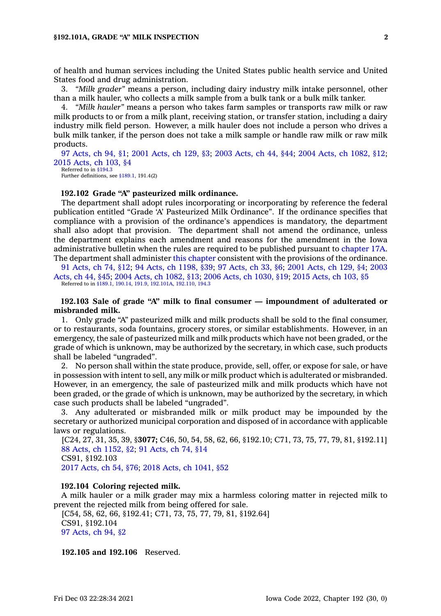of health and human services including the United States public health service and United States food and drug administration.

3. *"Milk grader"* means <sup>a</sup> person, including dairy industry milk intake personnel, other than <sup>a</sup> milk hauler, who collects <sup>a</sup> milk sample from <sup>a</sup> bulk tank or <sup>a</sup> bulk milk tanker.

4. *"Milk hauler"* means <sup>a</sup> person who takes farm samples or transports raw milk or raw milk products to or from <sup>a</sup> milk plant, receiving station, or transfer station, including <sup>a</sup> dairy industry milk field person. However, <sup>a</sup> milk hauler does not include <sup>a</sup> person who drives <sup>a</sup> bulk milk tanker, if the person does not take <sup>a</sup> milk sample or handle raw milk or raw milk products.

97 [Acts,](https://www.legis.iowa.gov/docs/acts/1997/CH0094.pdf) ch 94, §1; 2001 [Acts,](https://www.legis.iowa.gov/docs/acts/2001/CH0129.pdf) ch 129, §3; 2003 [Acts,](https://www.legis.iowa.gov/docs/acts/2003/CH0044.pdf) ch 44, §44; 2004 Acts, ch [1082,](https://www.legis.iowa.gov/docs/acts/2004/CH1082.pdf) §12; 2015 [Acts,](https://www.legis.iowa.gov/docs/acts/2015/CH0103.pdf) ch 103, §4

Referred to in [§194.3](https://www.legis.iowa.gov/docs/code/194.3.pdf) Further definitions, see [§189.1](https://www.legis.iowa.gov/docs/code/189.1.pdf), 191.4(2)

## **192.102 Grade "A" pasteurized milk ordinance.**

The department shall adopt rules incorporating or incorporating by reference the federal publication entitled "Grade 'A' Pasteurized Milk Ordinance". If the ordinance specifies that compliance with <sup>a</sup> provision of the ordinance's appendices is mandatory, the department shall also adopt that provision. The department shall not amend the ordinance, unless the department explains each amendment and reasons for the amendment in the Iowa administrative bulletin when the rules are required to be published pursuant to [chapter](https://www.legis.iowa.gov/docs/code//17A.pdf) 17A. The department shall administer this [chapter](https://www.legis.iowa.gov/docs/code//192.pdf) consistent with the provisions of the ordinance.

91 [Acts,](https://www.legis.iowa.gov/docs/acts/1991/CH0074.pdf) ch 74, §12; 94 Acts, ch [1198,](https://www.legis.iowa.gov/docs/acts/94/CH1198.pdf) §39; 97 [Acts,](https://www.legis.iowa.gov/docs/acts/97/CH0033.pdf) ch 33, §6; 2001 [Acts,](https://www.legis.iowa.gov/docs/acts/2001/CH0129.pdf) ch 129, §4; [2003](https://www.legis.iowa.gov/docs/acts/2003/CH0044.pdf) [Acts,](https://www.legis.iowa.gov/docs/acts/2003/CH0044.pdf) ch 44, §45; 2004 Acts, ch [1082,](https://www.legis.iowa.gov/docs/acts/2004/CH1082.pdf) §13; 2006 Acts, ch [1030,](https://www.legis.iowa.gov/docs/acts/2006/CH1030.pdf) §19; 2015 [Acts,](https://www.legis.iowa.gov/docs/acts/2015/CH0103.pdf) ch 103, §5 Referred to in [§189.1](https://www.legis.iowa.gov/docs/code/189.1.pdf), [190.14](https://www.legis.iowa.gov/docs/code/190.14.pdf), [191.9](https://www.legis.iowa.gov/docs/code/191.9.pdf), [192.101A](https://www.legis.iowa.gov/docs/code/192.101A.pdf), [192.110](https://www.legis.iowa.gov/docs/code/192.110.pdf), [194.3](https://www.legis.iowa.gov/docs/code/194.3.pdf)

## **192.103 Sale of grade "A" milk to final consumer — impoundment of adulterated or misbranded milk.**

1. Only grade "A" pasteurized milk and milk products shall be sold to the final consumer, or to restaurants, soda fountains, grocery stores, or similar establishments. However, in an emergency, the sale of pasteurized milk and milk products which have not been graded, or the grade of which is unknown, may be authorized by the secretary, in which case, such products shall be labeled "ungraded".

2. No person shall within the state produce, provide, sell, offer, or expose for sale, or have in possession with intent to sell, any milk or milk product which is adulterated or misbranded. However, in an emergency, the sale of pasteurized milk and milk products which have not been graded, or the grade of which is unknown, may be authorized by the secretary, in which case such products shall be labeled "ungraded".

3. Any adulterated or misbranded milk or milk product may be impounded by the secretary or authorized municipal corporation and disposed of in accordance with applicable laws or regulations.

[C24, 27, 31, 35, 39, §**3077;** C46, 50, 54, 58, 62, 66, §192.10; C71, 73, 75, 77, 79, 81, §192.11] 88 Acts, ch [1152,](https://www.legis.iowa.gov/docs/acts/1988/CH1152.pdf) §2; 91 [Acts,](https://www.legis.iowa.gov/docs/acts/1991/CH0074.pdf) ch 74, §14 CS91, §192.103

2017 [Acts,](https://www.legis.iowa.gov/docs/acts/2017/CH0054.pdf) ch 54, §76; 2018 Acts, ch [1041,](https://www.legis.iowa.gov/docs/acts/2018/CH1041.pdf) §52

#### **192.104 Coloring rejected milk.**

A milk hauler or <sup>a</sup> milk grader may mix <sup>a</sup> harmless coloring matter in rejected milk to prevent the rejected milk from being offered for sale.

[C54, 58, 62, 66, §192.41; C71, 73, 75, 77, 79, 81, §192.64] CS91, §192.104 97 [Acts,](https://www.legis.iowa.gov/docs/acts/1997/CH0094.pdf) ch 94, §2

**192.105 and 192.106** Reserved.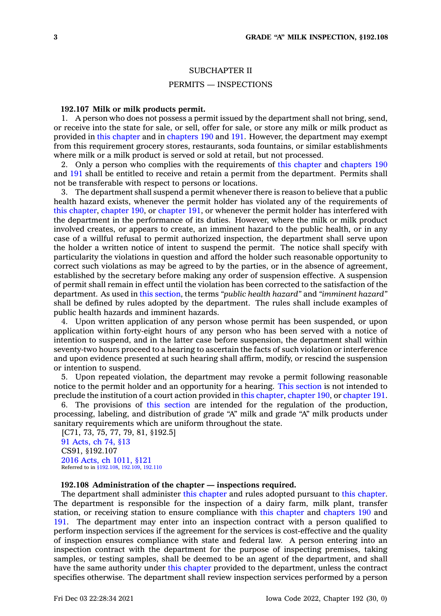## SUBCHAPTER II

## PERMITS — INSPECTIONS

## **192.107 Milk or milk products permit.**

1. A person who does not possess <sup>a</sup> permit issued by the department shall not bring, send, or receive into the state for sale, or sell, offer for sale, or store any milk or milk product as provided in this [chapter](https://www.legis.iowa.gov/docs/code//192.pdf) and in [chapters](https://www.legis.iowa.gov/docs/code//190.pdf) 190 and [191](https://www.legis.iowa.gov/docs/code//191.pdf). However, the department may exempt from this requirement grocery stores, restaurants, soda fountains, or similar establishments where milk or <sup>a</sup> milk product is served or sold at retail, but not processed.

2. Only <sup>a</sup> person who complies with the requirements of this [chapter](https://www.legis.iowa.gov/docs/code//192.pdf) and [chapters](https://www.legis.iowa.gov/docs/code//190.pdf) 190 and [191](https://www.legis.iowa.gov/docs/code//191.pdf) shall be entitled to receive and retain <sup>a</sup> permit from the department. Permits shall not be transferable with respect to persons or locations.

3. The department shall suspend <sup>a</sup> permit whenever there is reason to believe that <sup>a</sup> public health hazard exists, whenever the permit holder has violated any of the requirements of this [chapter](https://www.legis.iowa.gov/docs/code//192.pdf), [chapter](https://www.legis.iowa.gov/docs/code//190.pdf) 190, or [chapter](https://www.legis.iowa.gov/docs/code//191.pdf) 191, or whenever the permit holder has interfered with the department in the performance of its duties. However, where the milk or milk product involved creates, or appears to create, an imminent hazard to the public health, or in any case of <sup>a</sup> willful refusal to permit authorized inspection, the department shall serve upon the holder <sup>a</sup> written notice of intent to suspend the permit. The notice shall specify with particularity the violations in question and afford the holder such reasonable opportunity to correct such violations as may be agreed to by the parties, or in the absence of agreement, established by the secretary before making any order of suspension effective. A suspension of permit shall remain in effect until the violation has been corrected to the satisfaction of the department. As used in this [section](https://www.legis.iowa.gov/docs/code/192.107.pdf), the terms *"public health hazard"* and *"imminent hazard"* shall be defined by rules adopted by the department. The rules shall include examples of public health hazards and imminent hazards.

4. Upon written application of any person whose permit has been suspended, or upon application within forty-eight hours of any person who has been served with <sup>a</sup> notice of intention to suspend, and in the latter case before suspension, the department shall within seventy-two hours proceed to <sup>a</sup> hearing to ascertain the facts of such violation or interference and upon evidence presented at such hearing shall affirm, modify, or rescind the suspension or intention to suspend.

5. Upon repeated violation, the department may revoke <sup>a</sup> permit following reasonable notice to the permit holder and an opportunity for <sup>a</sup> hearing. This [section](https://www.legis.iowa.gov/docs/code/192.107.pdf) is not intended to preclude the institution of <sup>a</sup> court action provided in this [chapter](https://www.legis.iowa.gov/docs/code//192.pdf), [chapter](https://www.legis.iowa.gov/docs/code//190.pdf) 190, or [chapter](https://www.legis.iowa.gov/docs/code//191.pdf) 191.

6. The provisions of this [section](https://www.legis.iowa.gov/docs/code/192.107.pdf) are intended for the regulation of the production, processing, labeling, and distribution of grade "A" milk and grade "A" milk products under sanitary requirements which are uniform throughout the state.

[C71, 73, 75, 77, 79, 81, §192.5] 91 [Acts,](https://www.legis.iowa.gov/docs/acts/1991/CH0074.pdf) ch 74, §13 CS91, §192.107 2016 Acts, ch [1011,](https://www.legis.iowa.gov/docs/acts/2016/CH1011.pdf) §121 Referred to in [§192.108](https://www.legis.iowa.gov/docs/code/192.108.pdf), [192.109](https://www.legis.iowa.gov/docs/code/192.109.pdf), [192.110](https://www.legis.iowa.gov/docs/code/192.110.pdf)

## **192.108 Administration of the chapter — inspections required.**

The department shall administer this [chapter](https://www.legis.iowa.gov/docs/code//192.pdf) and rules adopted pursuant to this [chapter](https://www.legis.iowa.gov/docs/code//192.pdf). The department is responsible for the inspection of <sup>a</sup> dairy farm, milk plant, transfer station, or receiving station to ensure compliance with this [chapter](https://www.legis.iowa.gov/docs/code//192.pdf) and [chapters](https://www.legis.iowa.gov/docs/code//190.pdf) 190 and [191](https://www.legis.iowa.gov/docs/code//191.pdf). The department may enter into an inspection contract with <sup>a</sup> person qualified to perform inspection services if the agreement for the services is cost-effective and the quality of inspection ensures compliance with state and federal law. A person entering into an inspection contract with the department for the purpose of inspecting premises, taking samples, or testing samples, shall be deemed to be an agent of the department, and shall have the same authority under this [chapter](https://www.legis.iowa.gov/docs/code//192.pdf) provided to the department, unless the contract specifies otherwise. The department shall review inspection services performed by <sup>a</sup> person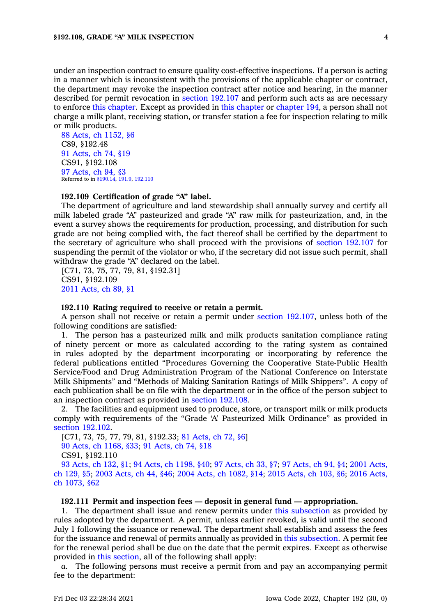under an inspection contract to ensure quality cost-effective inspections. If <sup>a</sup> person is acting in <sup>a</sup> manner which is inconsistent with the provisions of the applicable chapter or contract, the department may revoke the inspection contract after notice and hearing, in the manner described for permit revocation in section [192.107](https://www.legis.iowa.gov/docs/code/192.107.pdf) and perform such acts as are necessary to enforce this [chapter](https://www.legis.iowa.gov/docs/code//192.pdf). Except as provided in this [chapter](https://www.legis.iowa.gov/docs/code//192.pdf) or [chapter](https://www.legis.iowa.gov/docs/code//194.pdf) 194, <sup>a</sup> person shall not charge <sup>a</sup> milk plant, receiving station, or transfer station <sup>a</sup> fee for inspection relating to milk or milk products.

88 Acts, ch [1152,](https://www.legis.iowa.gov/docs/acts/1988/CH1152.pdf) §6 C89, §192.48 91 [Acts,](https://www.legis.iowa.gov/docs/acts/1991/CH0074.pdf) ch 74, §19 CS91, §192.108 97 [Acts,](https://www.legis.iowa.gov/docs/acts/1997/CH0094.pdf) ch 94, §3 Referred to in [§190.14,](https://www.legis.iowa.gov/docs/code/190.14.pdf) [191.9](https://www.legis.iowa.gov/docs/code/191.9.pdf), [192.110](https://www.legis.iowa.gov/docs/code/192.110.pdf)

#### **192.109 Certification of grade "A" label.**

The department of agriculture and land stewardship shall annually survey and certify all milk labeled grade "A" pasteurized and grade "A" raw milk for pasteurization, and, in the event <sup>a</sup> survey shows the requirements for production, processing, and distribution for such grade are not being complied with, the fact thereof shall be certified by the department to the secretary of agriculture who shall proceed with the provisions of section [192.107](https://www.legis.iowa.gov/docs/code/192.107.pdf) for suspending the permit of the violator or who, if the secretary did not issue such permit, shall withdraw the grade "A" declared on the label.

[C71, 73, 75, 77, 79, 81, §192.31] CS91, §192.109 2011 [Acts,](https://www.legis.iowa.gov/docs/acts/2011/CH0089.pdf) ch 89, §1

#### **192.110 Rating required to receive or retain <sup>a</sup> permit.**

A person shall not receive or retain <sup>a</sup> permit under section [192.107](https://www.legis.iowa.gov/docs/code/192.107.pdf), unless both of the following conditions are satisfied:

1. The person has <sup>a</sup> pasteurized milk and milk products sanitation compliance rating of ninety percent or more as calculated according to the rating system as contained in rules adopted by the department incorporating or incorporating by reference the federal publications entitled "Procedures Governing the Cooperative State-Public Health Service/Food and Drug Administration Program of the National Conference on Interstate Milk Shipments" and "Methods of Making Sanitation Ratings of Milk Shippers". A copy of each publication shall be on file with the department or in the office of the person subject to an inspection contract as provided in section [192.108](https://www.legis.iowa.gov/docs/code/192.108.pdf).

2. The facilities and equipment used to produce, store, or transport milk or milk products comply with requirements of the "Grade 'A' Pasteurized Milk Ordinance" as provided in section [192.102](https://www.legis.iowa.gov/docs/code/192.102.pdf).

[C71, 73, 75, 77, 79, 81, §192.33; 81 [Acts,](https://www.legis.iowa.gov/docs/acts/1981/CH0072.pdf) ch 72, §6] 90 Acts, ch [1168,](https://www.legis.iowa.gov/docs/acts/1990/CH1168.pdf) §33; 91 [Acts,](https://www.legis.iowa.gov/docs/acts/91/CH0074.pdf) ch 74, §18 CS91, §192.110

93 [Acts,](https://www.legis.iowa.gov/docs/acts/1993/CH0132.pdf) ch 132, §1; 94 Acts, ch [1198,](https://www.legis.iowa.gov/docs/acts/94/CH1198.pdf) §40; 97 [Acts,](https://www.legis.iowa.gov/docs/acts/97/CH0033.pdf) ch 33, §7; 97 [Acts,](https://www.legis.iowa.gov/docs/acts/97/CH0094.pdf) ch 94, §4; 2001 [Acts,](https://www.legis.iowa.gov/docs/acts/2001/CH0129.pdf) ch [129,](https://www.legis.iowa.gov/docs/acts/2001/CH0129.pdf) §5; 2003 [Acts,](https://www.legis.iowa.gov/docs/acts/2003/CH0044.pdf) ch 44, §46; 2004 Acts, ch [1082,](https://www.legis.iowa.gov/docs/acts/2004/CH1082.pdf) §14; 2015 [Acts,](https://www.legis.iowa.gov/docs/acts/2015/CH0103.pdf) ch 103, §6; 2016 [Acts,](https://www.legis.iowa.gov/docs/acts/2016/CH1073.pdf) ch [1073,](https://www.legis.iowa.gov/docs/acts/2016/CH1073.pdf) §62

#### **192.111 Permit and inspection fees — deposit in general fund — appropriation.**

1. The department shall issue and renew permits under this [subsection](https://www.legis.iowa.gov/docs/code/192.111.pdf) as provided by rules adopted by the department. A permit, unless earlier revoked, is valid until the second July 1 following the issuance or renewal. The department shall establish and assess the fees for the issuance and renewal of permits annually as provided in this [subsection](https://www.legis.iowa.gov/docs/code/192.111.pdf). A permit fee for the renewal period shall be due on the date that the permit expires. Except as otherwise provided in this [section](https://www.legis.iowa.gov/docs/code/192.111.pdf), all of the following shall apply:

*a.* The following persons must receive <sup>a</sup> permit from and pay an accompanying permit fee to the department: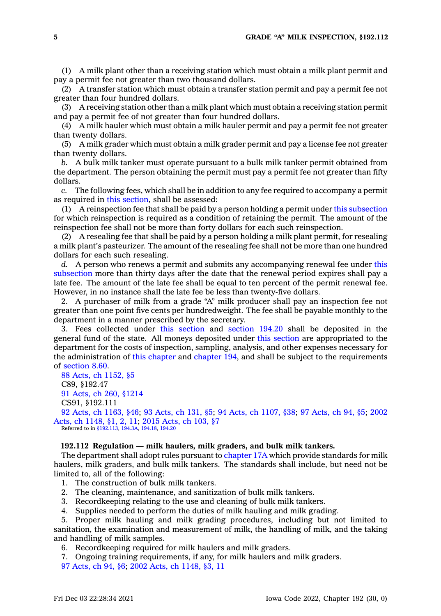(1) A milk plant other than <sup>a</sup> receiving station which must obtain <sup>a</sup> milk plant permit and pay <sup>a</sup> permit fee not greater than two thousand dollars.

(2) A transfer station which must obtain <sup>a</sup> transfer station permit and pay <sup>a</sup> permit fee not greater than four hundred dollars.

(3) A receiving station other than <sup>a</sup> milk plant which must obtain <sup>a</sup> receiving station permit and pay <sup>a</sup> permit fee of not greater than four hundred dollars.

(4) A milk hauler which must obtain <sup>a</sup> milk hauler permit and pay <sup>a</sup> permit fee not greater than twenty dollars.

(5) A milk grader which must obtain <sup>a</sup> milk grader permit and pay <sup>a</sup> license fee not greater than twenty dollars.

*b.* A bulk milk tanker must operate pursuant to <sup>a</sup> bulk milk tanker permit obtained from the department. The person obtaining the permit must pay <sup>a</sup> permit fee not greater than fifty dollars.

*c.* The following fees, which shall be in addition to any fee required to accompany <sup>a</sup> permit as required in this [section](https://www.legis.iowa.gov/docs/code/192.111.pdf), shall be assessed:

(1) A reinspection fee that shall be paid by <sup>a</sup> person holding <sup>a</sup> permit under this [subsection](https://www.legis.iowa.gov/docs/code/192.111.pdf) for which reinspection is required as <sup>a</sup> condition of retaining the permit. The amount of the reinspection fee shall not be more than forty dollars for each such reinspection.

(2) A resealing fee that shall be paid by <sup>a</sup> person holding <sup>a</sup> milk plant permit, for resealing <sup>a</sup> milk plant's pasteurizer. The amount of the resealing fee shall not be more than one hundred dollars for each such resealing.

*d.* A person who renews <sup>a</sup> permit and submits any accompanying renewal fee under [this](https://www.legis.iowa.gov/docs/code/192.111.pdf) [subsection](https://www.legis.iowa.gov/docs/code/192.111.pdf) more than thirty days after the date that the renewal period expires shall pay <sup>a</sup> late fee. The amount of the late fee shall be equal to ten percent of the permit renewal fee. However, in no instance shall the late fee be less than twenty-five dollars.

2. A purchaser of milk from <sup>a</sup> grade "A" milk producer shall pay an inspection fee not greater than one point five cents per hundredweight. The fee shall be payable monthly to the department in <sup>a</sup> manner prescribed by the secretary.

3. Fees collected under this [section](https://www.legis.iowa.gov/docs/code/192.111.pdf) and [section](https://www.legis.iowa.gov/docs/code/194.20.pdf) 194.20 shall be deposited in the general fund of the state. All moneys deposited under this [section](https://www.legis.iowa.gov/docs/code/192.111.pdf) are appropriated to the department for the costs of inspection, sampling, analysis, and other expenses necessary for the administration of this [chapter](https://www.legis.iowa.gov/docs/code//192.pdf) and [chapter](https://www.legis.iowa.gov/docs/code//194.pdf) 194, and shall be subject to the requirements of [section](https://www.legis.iowa.gov/docs/code/8.60.pdf) 8.60.

88 Acts, ch [1152,](https://www.legis.iowa.gov/docs/acts/1988/CH1152.pdf) §5 C89, §192.47 91 Acts, ch 260, [§1214](https://www.legis.iowa.gov/docs/acts/1991/CH0260.pdf) CS91, §192.111 92 Acts, ch [1163,](https://www.legis.iowa.gov/docs/acts/1992/CH1163.pdf) §46; 93 [Acts,](https://www.legis.iowa.gov/docs/acts/93/CH0131.pdf) ch 131, §5; 94 Acts, ch [1107,](https://www.legis.iowa.gov/docs/acts/94/CH1107.pdf) §38; 97 [Acts,](https://www.legis.iowa.gov/docs/acts/97/CH0094.pdf) ch 94, §5; [2002](https://www.legis.iowa.gov/docs/acts/2002/CH1148.pdf) Acts, ch [1148,](https://www.legis.iowa.gov/docs/acts/2002/CH1148.pdf) §1, 2, 11; 2015 [Acts,](https://www.legis.iowa.gov/docs/acts/2015/CH0103.pdf) ch 103, §7 Referred to in [§192.113](https://www.legis.iowa.gov/docs/code/192.113.pdf), [194.3A](https://www.legis.iowa.gov/docs/code/194.3A.pdf), [194.18](https://www.legis.iowa.gov/docs/code/194.18.pdf), [194.20](https://www.legis.iowa.gov/docs/code/194.20.pdf)

## **192.112 Regulation — milk haulers, milk graders, and bulk milk tankers.**

The department shall adopt rules pursuant to [chapter](https://www.legis.iowa.gov/docs/code//17A.pdf) 17A which provide standards for milk haulers, milk graders, and bulk milk tankers. The standards shall include, but need not be limited to, all of the following:

- 1. The construction of bulk milk tankers.
- 2. The cleaning, maintenance, and sanitization of bulk milk tankers.
- 3. Recordkeeping relating to the use and cleaning of bulk milk tankers.
- 4. Supplies needed to perform the duties of milk hauling and milk grading.

5. Proper milk hauling and milk grading procedures, including but not limited to sanitation, the examination and measurement of milk, the handling of milk, and the taking and handling of milk samples.

- 6. Recordkeeping required for milk haulers and milk graders.
- 7. Ongoing training requirements, if any, for milk haulers and milk graders.
- 97 [Acts,](https://www.legis.iowa.gov/docs/acts/1997/CH0094.pdf) ch 94, §6; 2002 Acts, ch [1148,](https://www.legis.iowa.gov/docs/acts/2002/CH1148.pdf) §3, 11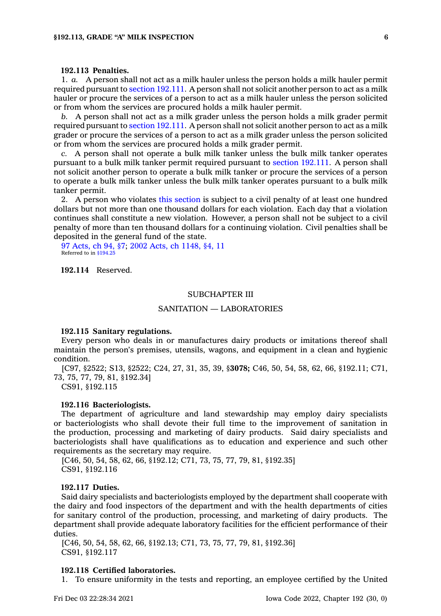### **192.113 Penalties.**

1. *a.* A person shall not act as <sup>a</sup> milk hauler unless the person holds <sup>a</sup> milk hauler permit required pursuant to section [192.111](https://www.legis.iowa.gov/docs/code/192.111.pdf). A person shall not solicit another person to act as <sup>a</sup> milk hauler or procure the services of <sup>a</sup> person to act as <sup>a</sup> milk hauler unless the person solicited or from whom the services are procured holds <sup>a</sup> milk hauler permit.

*b.* A person shall not act as <sup>a</sup> milk grader unless the person holds <sup>a</sup> milk grader permit required pursuant to section [192.111](https://www.legis.iowa.gov/docs/code/192.111.pdf). A person shall not solicit another person to act as <sup>a</sup> milk grader or procure the services of <sup>a</sup> person to act as <sup>a</sup> milk grader unless the person solicited or from whom the services are procured holds <sup>a</sup> milk grader permit.

*c.* A person shall not operate <sup>a</sup> bulk milk tanker unless the bulk milk tanker operates pursuant to <sup>a</sup> bulk milk tanker permit required pursuant to section [192.111](https://www.legis.iowa.gov/docs/code/192.111.pdf). A person shall not solicit another person to operate <sup>a</sup> bulk milk tanker or procure the services of <sup>a</sup> person to operate <sup>a</sup> bulk milk tanker unless the bulk milk tanker operates pursuant to <sup>a</sup> bulk milk tanker permit.

2. A person who violates this [section](https://www.legis.iowa.gov/docs/code/192.113.pdf) is subject to <sup>a</sup> civil penalty of at least one hundred dollars but not more than one thousand dollars for each violation. Each day that <sup>a</sup> violation continues shall constitute <sup>a</sup> new violation. However, <sup>a</sup> person shall not be subject to <sup>a</sup> civil penalty of more than ten thousand dollars for <sup>a</sup> continuing violation. Civil penalties shall be deposited in the general fund of the state.

97 [Acts,](https://www.legis.iowa.gov/docs/acts/1997/CH0094.pdf) ch 94, §7; 2002 Acts, ch [1148,](https://www.legis.iowa.gov/docs/acts/2002/CH1148.pdf) §4, 11 Referred to in [§194.25](https://www.legis.iowa.gov/docs/code/194.25.pdf)

**192.114** Reserved.

#### SUBCHAPTER III

## SANITATION — LABORATORIES

#### **192.115 Sanitary regulations.**

Every person who deals in or manufactures dairy products or imitations thereof shall maintain the person's premises, utensils, wagons, and equipment in <sup>a</sup> clean and hygienic condition.

[C97, §2522; S13, §2522; C24, 27, 31, 35, 39, §**3078;** C46, 50, 54, 58, 62, 66, §192.11; C71, 73, 75, 77, 79, 81, §192.34]

CS91, §192.115

## **192.116 Bacteriologists.**

The department of agriculture and land stewardship may employ dairy specialists or bacteriologists who shall devote their full time to the improvement of sanitation in the production, processing and marketing of dairy products. Said dairy specialists and bacteriologists shall have qualifications as to education and experience and such other requirements as the secretary may require.

[C46, 50, 54, 58, 62, 66, §192.12; C71, 73, 75, 77, 79, 81, §192.35] CS91, §192.116

## **192.117 Duties.**

Said dairy specialists and bacteriologists employed by the department shall cooperate with the dairy and food inspectors of the department and with the health departments of cities for sanitary control of the production, processing, and marketing of dairy products. The department shall provide adequate laboratory facilities for the efficient performance of their duties.

[C46, 50, 54, 58, 62, 66, §192.13; C71, 73, 75, 77, 79, 81, §192.36] CS91, §192.117

#### **192.118 Certified laboratories.**

1. To ensure uniformity in the tests and reporting, an employee certified by the United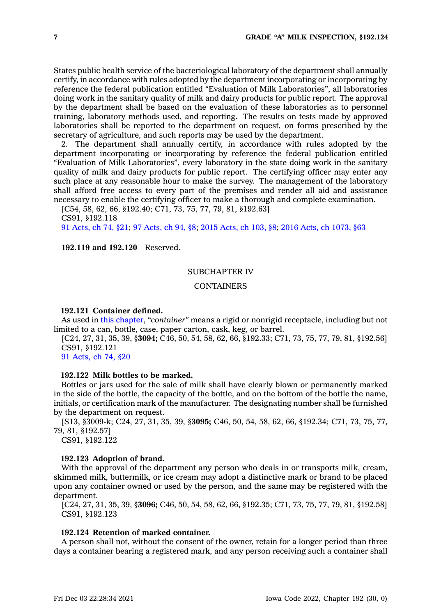States public health service of the bacteriological laboratory of the department shall annually certify, in accordance with rules adopted by the department incorporating or incorporating by reference the federal publication entitled "Evaluation of Milk Laboratories", all laboratories doing work in the sanitary quality of milk and dairy products for public report. The approval by the department shall be based on the evaluation of these laboratories as to personnel training, laboratory methods used, and reporting. The results on tests made by approved laboratories shall be reported to the department on request, on forms prescribed by the secretary of agriculture, and such reports may be used by the department.

2. The department shall annually certify, in accordance with rules adopted by the department incorporating or incorporating by reference the federal publication entitled "Evaluation of Milk Laboratories", every laboratory in the state doing work in the sanitary quality of milk and dairy products for public report. The certifying officer may enter any such place at any reasonable hour to make the survey. The management of the laboratory shall afford free access to every part of the premises and render all aid and assistance necessary to enable the certifying officer to make <sup>a</sup> thorough and complete examination.

[C54, 58, 62, 66, §192.40; C71, 73, 75, 77, 79, 81, §192.63] CS91, §192.118

91 [Acts,](https://www.legis.iowa.gov/docs/acts/1991/CH0074.pdf) ch 74, §21; 97 [Acts,](https://www.legis.iowa.gov/docs/acts/97/CH0094.pdf) ch 94, §8; 2015 [Acts,](https://www.legis.iowa.gov/docs/acts/2015/CH0103.pdf) ch 103, §8; 2016 Acts, ch [1073,](https://www.legis.iowa.gov/docs/acts/2016/CH1073.pdf) §63

**192.119 and 192.120** Reserved.

## SUBCHAPTER IV

## **CONTAINERS**

## **192.121 Container defined.**

As used in this [chapter](https://www.legis.iowa.gov/docs/code//192.pdf), *"container"* means <sup>a</sup> rigid or nonrigid receptacle, including but not limited to <sup>a</sup> can, bottle, case, paper carton, cask, keg, or barrel.

[C24, 27, 31, 35, 39, §**3094;** C46, 50, 54, 58, 62, 66, §192.33; C71, 73, 75, 77, 79, 81, §192.56] CS91, §192.121

91 [Acts,](https://www.legis.iowa.gov/docs/acts/1991/CH0074.pdf) ch 74, §20

## **192.122 Milk bottles to be marked.**

Bottles or jars used for the sale of milk shall have clearly blown or permanently marked in the side of the bottle, the capacity of the bottle, and on the bottom of the bottle the name, initials, or certification mark of the manufacturer. The designating number shall be furnished by the department on request.

[S13, §3009-k; C24, 27, 31, 35, 39, §**3095;** C46, 50, 54, 58, 62, 66, §192.34; C71, 73, 75, 77, 79, 81, §192.57]

CS91, §192.122

#### **192.123 Adoption of brand.**

With the approval of the department any person who deals in or transports milk, cream, skimmed milk, buttermilk, or ice cream may adopt <sup>a</sup> distinctive mark or brand to be placed upon any container owned or used by the person, and the same may be registered with the department.

[C24, 27, 31, 35, 39, §**3096;** C46, 50, 54, 58, 62, 66, §192.35; C71, 73, 75, 77, 79, 81, §192.58] CS91, §192.123

## **192.124 Retention of marked container.**

A person shall not, without the consent of the owner, retain for <sup>a</sup> longer period than three days <sup>a</sup> container bearing <sup>a</sup> registered mark, and any person receiving such <sup>a</sup> container shall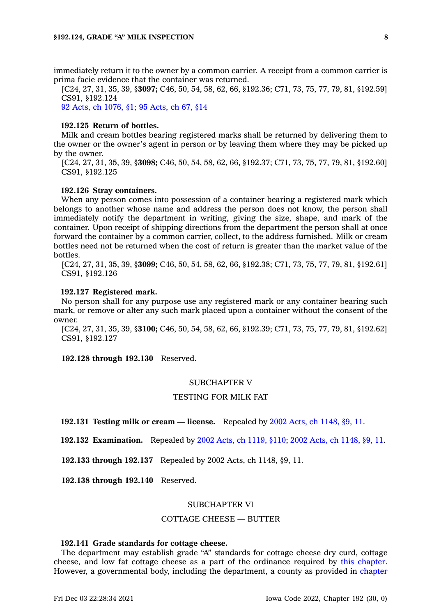immediately return it to the owner by <sup>a</sup> common carrier. A receipt from <sup>a</sup> common carrier is prima facie evidence that the container was returned.

[C24, 27, 31, 35, 39, §**3097;** C46, 50, 54, 58, 62, 66, §192.36; C71, 73, 75, 77, 79, 81, §192.59] CS91, §192.124

92 Acts, ch [1076,](https://www.legis.iowa.gov/docs/acts/1992/CH1076.pdf) §1; 95 [Acts,](https://www.legis.iowa.gov/docs/acts/1995/CH0067.pdf) ch 67, §14

## **192.125 Return of bottles.**

Milk and cream bottles bearing registered marks shall be returned by delivering them to the owner or the owner's agent in person or by leaving them where they may be picked up by the owner.

[C24, 27, 31, 35, 39, §**3098;** C46, 50, 54, 58, 62, 66, §192.37; C71, 73, 75, 77, 79, 81, §192.60] CS91, §192.125

#### **192.126 Stray containers.**

When any person comes into possession of <sup>a</sup> container bearing <sup>a</sup> registered mark which belongs to another whose name and address the person does not know, the person shall immediately notify the department in writing, giving the size, shape, and mark of the container. Upon receipt of shipping directions from the department the person shall at once forward the container by <sup>a</sup> common carrier, collect, to the address furnished. Milk or cream bottles need not be returned when the cost of return is greater than the market value of the bottles.

[C24, 27, 31, 35, 39, §**3099;** C46, 50, 54, 58, 62, 66, §192.38; C71, 73, 75, 77, 79, 81, §192.61] CS91, §192.126

## **192.127 Registered mark.**

No person shall for any purpose use any registered mark or any container bearing such mark, or remove or alter any such mark placed upon <sup>a</sup> container without the consent of the owner.

[C24, 27, 31, 35, 39, §**3100;** C46, 50, 54, 58, 62, 66, §192.39; C71, 73, 75, 77, 79, 81, §192.62] CS91, §192.127

**192.128 through 192.130** Reserved.

## SUBCHAPTER V

## TESTING FOR MILK FAT

**192.131 Testing milk or cream — license.** Repealed by 2002 Acts, ch [1148,](https://www.legis.iowa.gov/docs/acts/2002/CH1148.pdf) §9, 11.

**192.132 Examination.** Repealed by 2002 Acts, ch [1119,](https://www.legis.iowa.gov/docs/acts/2002/CH1119.pdf) §110; 2002 Acts, ch [1148,](https://www.legis.iowa.gov/docs/acts/2002/CH1148.pdf) §9, 11.

**192.133 through 192.137** Repealed by 2002 Acts, ch 1148, §9, 11.

**192.138 through 192.140** Reserved.

## SUBCHAPTER VI

## COTTAGE CHEESE — BUTTER

#### **192.141 Grade standards for cottage cheese.**

The department may establish grade "A" standards for cottage cheese dry curd, cottage cheese, and low fat cottage cheese as <sup>a</sup> part of the ordinance required by this [chapter](https://www.legis.iowa.gov/docs/code//192.pdf). However, <sup>a</sup> governmental body, including the department, <sup>a</sup> county as provided in [chapter](https://www.legis.iowa.gov/docs/code//331.pdf)